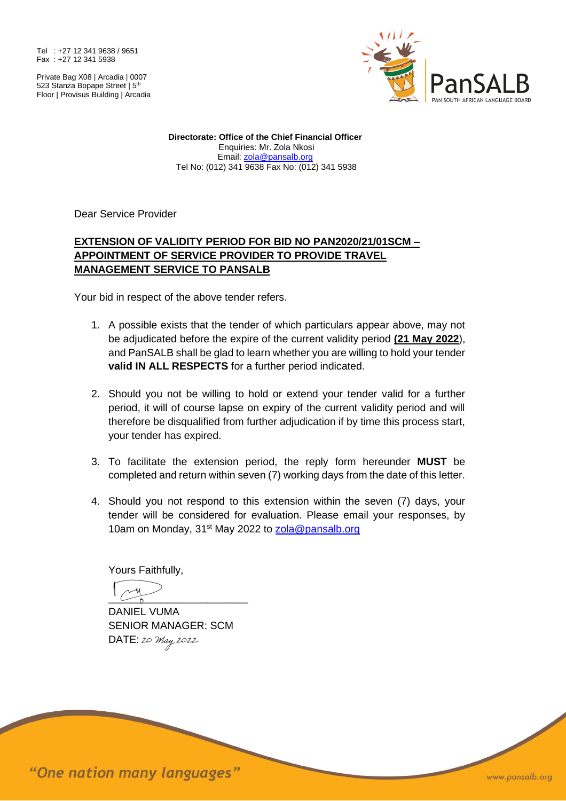Tel : +27 12 341 9638 / 9651 Fax : +27 12 341 5938

Private Bag X08 | Arcadia | 0007 523 Stanza Bopape Street | 5<sup>th</sup> Floor | Provisus Building | Arcadia



**Directorate: Office of the Chief Financial Officer** Enquiries: Mr. Zola Nkosi Email: [zola@pansalb.org](mailto:zola@pansalb.org) Tel No: (012) 341 9638 Fax No: (012) 341 5938

Dear Service Provider

## **EXTENSION OF VALIDITY PERIOD FOR BID NO PAN2020/21/01SCM – APPOINTMENT OF SERVICE PROVIDER TO PROVIDE TRAVEL MANAGEMENT SERVICE TO PANSALB**

Your bid in respect of the above tender refers.

- 1. A possible exists that the tender of which particulars appear above, may not be adjudicated before the expire of the current validity period **(21 May 2022**), and PanSALB shall be glad to learn whether you are willing to hold your tender **valid IN ALL RESPECTS** for a further period indicated.
- 2. Should you not be willing to hold or extend your tender valid for a further period, it will of course lapse on expiry of the current validity period and will therefore be disqualified from further adjudication if by time this process start, your tender has expired.
- 3. To facilitate the extension period, the reply form hereunder **MUST** be completed and return within seven (7) working days from the date of this letter.
- 4. Should you not respond to this extension within the seven (7) days, your tender will be considered for evaluation. Please email your responses, by 10am on Monday, 31<sup>st</sup> May 2022 to [zola@pansalb.org](mailto:zola@pansalb.org)

Yours Faithfully,

 $\frac{1}{2}$ 

DANIEL VUMA SENIOR MANAGER: SCM DATE: 20 May 2022

"One nation many languages"

www.pansalb.org